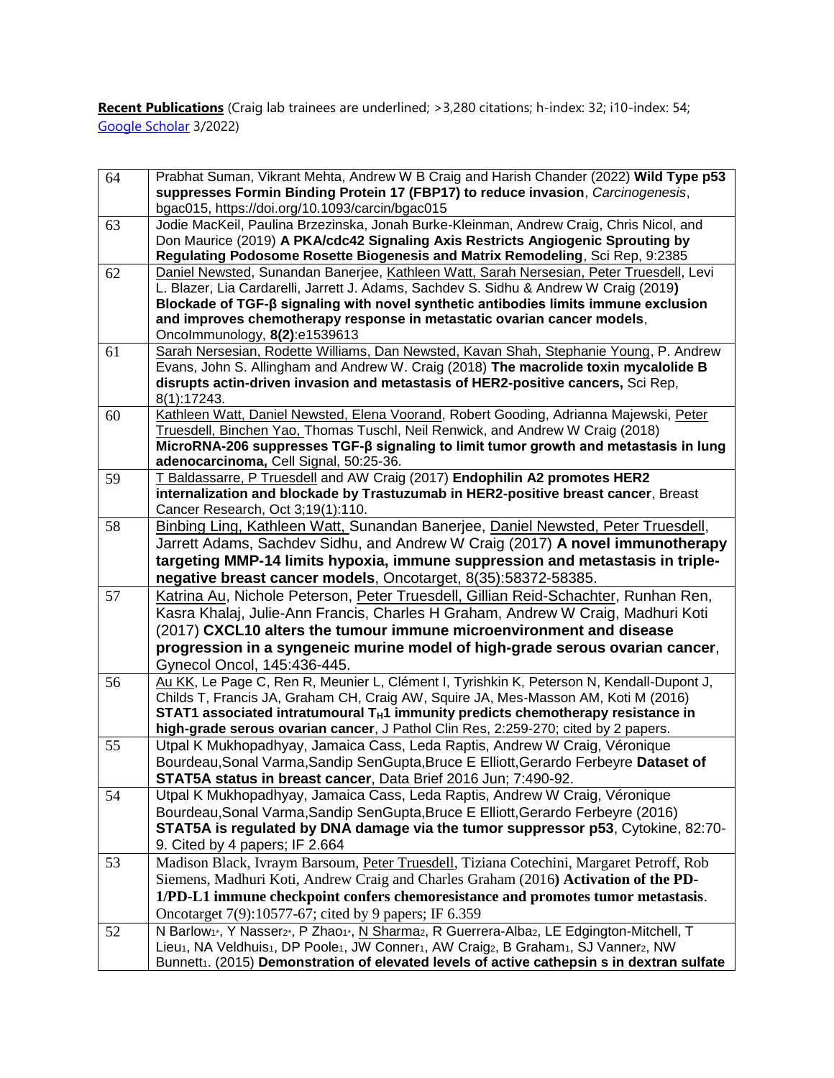**Recent Publications** (Craig lab trainees are underlined; >3,280 citations; h-index: 32; i10-index: 54; [Google Scholar](https://scholar.google.ca/citations?hl=en&pli=1&user=X8W4_psAAAAJ) 3/2022)

| 64 | Prabhat Suman, Vikrant Mehta, Andrew W B Craig and Harish Chander (2022) Wild Type p53<br>suppresses Formin Binding Protein 17 (FBP17) to reduce invasion, Carcinogenesis,<br>bgac015, https://doi.org/10.1093/carcin/bgac015                                                                                                                                                               |
|----|---------------------------------------------------------------------------------------------------------------------------------------------------------------------------------------------------------------------------------------------------------------------------------------------------------------------------------------------------------------------------------------------|
| 63 | Jodie MacKeil, Paulina Brzezinska, Jonah Burke-Kleinman, Andrew Craig, Chris Nicol, and<br>Don Maurice (2019) A PKA/cdc42 Signaling Axis Restricts Angiogenic Sprouting by<br>Regulating Podosome Rosette Biogenesis and Matrix Remodeling, Sci Rep, 9:2385                                                                                                                                 |
| 62 | Daniel Newsted, Sunandan Banerjee, Kathleen Watt, Sarah Nersesian, Peter Truesdell, Levi<br>L. Blazer, Lia Cardarelli, Jarrett J. Adams, Sachdev S. Sidhu & Andrew W Craig (2019)<br>Blockade of TGF- $\beta$ signaling with novel synthetic antibodies limits immune exclusion<br>and improves chemotherapy response in metastatic ovarian cancer models,<br>Oncolmmunology, 8(2):e1539613 |
| 61 | Sarah Nersesian, Rodette Williams, Dan Newsted, Kavan Shah, Stephanie Young, P. Andrew<br>Evans, John S. Allingham and Andrew W. Craig (2018) The macrolide toxin mycalolide B<br>disrupts actin-driven invasion and metastasis of HER2-positive cancers, Sci Rep,<br>8(1):17243.                                                                                                           |
| 60 | Kathleen Watt, Daniel Newsted, Elena Voorand, Robert Gooding, Adrianna Majewski, Peter<br>Truesdell, Binchen Yao, Thomas Tuschl, Neil Renwick, and Andrew W Craig (2018)<br>$Microsoft$ nicroRNA-206 suppresses TGF- $\beta$ signaling to limit tumor growth and metastasis in lung<br>adenocarcinoma, Cell Signal, 50:25-36.                                                               |
| 59 | T Baldassarre, P Truesdell and AW Craig (2017) Endophilin A2 promotes HER2<br>internalization and blockade by Trastuzumab in HER2-positive breast cancer, Breast<br>Cancer Research, Oct 3;19(1):110.                                                                                                                                                                                       |
| 58 | Binbing Ling, Kathleen Watt, Sunandan Banerjee, Daniel Newsted, Peter Truesdell,<br>Jarrett Adams, Sachdev Sidhu, and Andrew W Craig (2017) A novel immunotherapy<br>targeting MMP-14 limits hypoxia, immune suppression and metastasis in triple-<br>negative breast cancer models, Oncotarget, 8(35):58372-58385.                                                                         |
| 57 | Katrina Au, Nichole Peterson, Peter Truesdell, Gillian Reid-Schachter, Runhan Ren,<br>Kasra Khalaj, Julie-Ann Francis, Charles H Graham, Andrew W Craig, Madhuri Koti<br>(2017) CXCL10 alters the tumour immune microenvironment and disease<br>progression in a syngeneic murine model of high-grade serous ovarian cancer,<br>Gynecol Oncol, 145:436-445.                                 |
| 56 | Au KK, Le Page C, Ren R, Meunier L, Clément I, Tyrishkin K, Peterson N, Kendall-Dupont J,<br>Childs T, Francis JA, Graham CH, Craig AW, Squire JA, Mes-Masson AM, Koti M (2016)<br>STAT1 associated intratumoural T <sub>H</sub> 1 immunity predicts chemotherapy resistance in<br>high-grade serous ovarian cancer, J Pathol Clin Res, 2:259-270; cited by 2 papers.                       |
| 55 | Utpal K Mukhopadhyay, Jamaica Cass, Leda Raptis, Andrew W Craig, Véronique<br>Bourdeau, Sonal Varma, Sandip SenGupta, Bruce E Elliott, Gerardo Ferbeyre Dataset of<br>STAT5A status in breast cancer, Data Brief 2016 Jun; 7:490-92.                                                                                                                                                        |
| 54 | Utpal K Mukhopadhyay, Jamaica Cass, Leda Raptis, Andrew W Craig, Véronique<br>Bourdeau, Sonal Varma, Sandip SenGupta, Bruce E Elliott, Gerardo Ferbeyre (2016)<br>STAT5A is regulated by DNA damage via the tumor suppressor p53, Cytokine, 82:70-<br>9. Cited by 4 papers; IF 2.664                                                                                                        |
| 53 | Madison Black, Ivraym Barsoum, Peter Truesdell, Tiziana Cotechini, Margaret Petroff, Rob<br>Siemens, Madhuri Koti, Andrew Craig and Charles Graham (2016) Activation of the PD-<br>1/PD-L1 immune checkpoint confers chemoresistance and promotes tumor metastasis.<br>Oncotarget 7(9):10577-67; cited by 9 papers; IF 6.359                                                                |
| 52 | N Barlow <sub>1</sub> , Y Nasser <sub>2</sub> , P Zhao <sub>1</sub> , N Sharma <sub>2</sub> , R Guerrera-Alba <sub>2</sub> , LE Edgington-Mitchell, T<br>Lieu1, NA Veldhuis1, DP Poole1, JW Conner1, AW Craig2, B Graham1, SJ Vanner2, NW<br>Bunnett1. (2015) Demonstration of elevated levels of active cathepsin s in dextran sulfate                                                     |